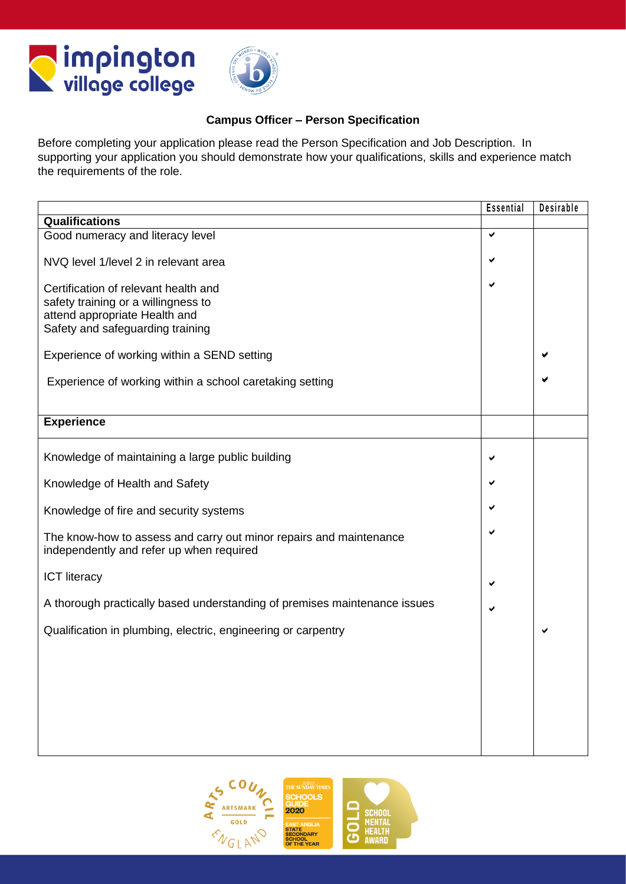



## **Campus Officer – Person Specification**

Before completing your application please read the Person Specification and Job Description. In supporting your application you should demonstrate how your qualifications, skills and experience match the requirements of the role.

|                                                                                                                                                  | Essential | Desirable |
|--------------------------------------------------------------------------------------------------------------------------------------------------|-----------|-----------|
| <b>Qualifications</b>                                                                                                                            |           |           |
| Good numeracy and literacy level                                                                                                                 | ✔         |           |
| NVQ level 1/level 2 in relevant area                                                                                                             | ✔         |           |
| Certification of relevant health and<br>safety training or a willingness to<br>attend appropriate Health and<br>Safety and safeguarding training | ✔         |           |
| Experience of working within a SEND setting                                                                                                      |           |           |
| Experience of working within a school caretaking setting                                                                                         |           |           |
| <b>Experience</b>                                                                                                                                |           |           |
|                                                                                                                                                  |           |           |
| Knowledge of maintaining a large public building                                                                                                 | ✔         |           |
| Knowledge of Health and Safety                                                                                                                   | ✔         |           |
| Knowledge of fire and security systems                                                                                                           | ✔         |           |
| The know-how to assess and carry out minor repairs and maintenance<br>independently and refer up when required                                   | ✔         |           |
| <b>ICT</b> literacy                                                                                                                              | ✔         |           |
| A thorough practically based understanding of premises maintenance issues                                                                        | ✔         |           |
| Qualification in plumbing, electric, engineering or carpentry                                                                                    |           | ✔         |
|                                                                                                                                                  |           |           |
|                                                                                                                                                  |           |           |

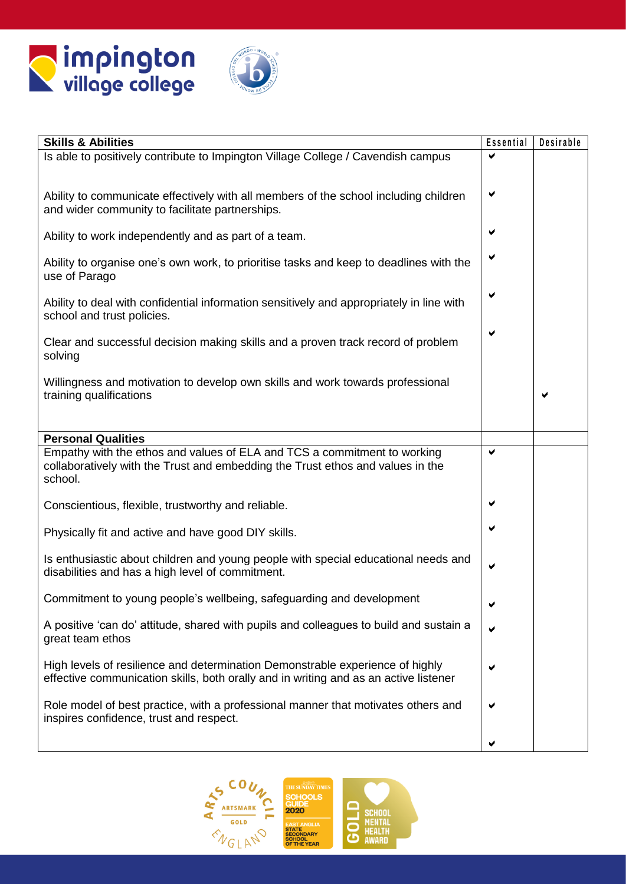



| <b>Skills &amp; Abilities</b>                                                                                                                                         | Essential | Desirable |
|-----------------------------------------------------------------------------------------------------------------------------------------------------------------------|-----------|-----------|
| Is able to positively contribute to Impington Village College / Cavendish campus                                                                                      |           |           |
| Ability to communicate effectively with all members of the school including children<br>and wider community to facilitate partnerships.                               | ✔         |           |
| Ability to work independently and as part of a team.                                                                                                                  |           |           |
| Ability to organise one's own work, to prioritise tasks and keep to deadlines with the<br>use of Parago                                                               |           |           |
| Ability to deal with confidential information sensitively and appropriately in line with<br>school and trust policies.                                                |           |           |
| Clear and successful decision making skills and a proven track record of problem<br>solving                                                                           |           |           |
| Willingness and motivation to develop own skills and work towards professional<br>training qualifications                                                             |           | ✔         |
| <b>Personal Qualities</b>                                                                                                                                             |           |           |
| Empathy with the ethos and values of ELA and TCS a commitment to working<br>collaboratively with the Trust and embedding the Trust ethos and values in the<br>school. | ✔         |           |
| Conscientious, flexible, trustworthy and reliable.                                                                                                                    | ✔         |           |
| Physically fit and active and have good DIY skills.                                                                                                                   | ✔         |           |
| Is enthusiastic about children and young people with special educational needs and<br>disabilities and has a high level of commitment.                                | ✔         |           |
| Commitment to young people's wellbeing, safeguarding and development                                                                                                  | ✔         |           |
| A positive 'can do' attitude, shared with pupils and colleagues to build and sustain a<br>great team ethos                                                            |           |           |
| High levels of resilience and determination Demonstrable experience of highly<br>effective communication skills, both orally and in writing and as an active listener |           |           |
| Role model of best practice, with a professional manner that motivates others and<br>inspires confidence, trust and respect.                                          |           |           |
|                                                                                                                                                                       |           |           |